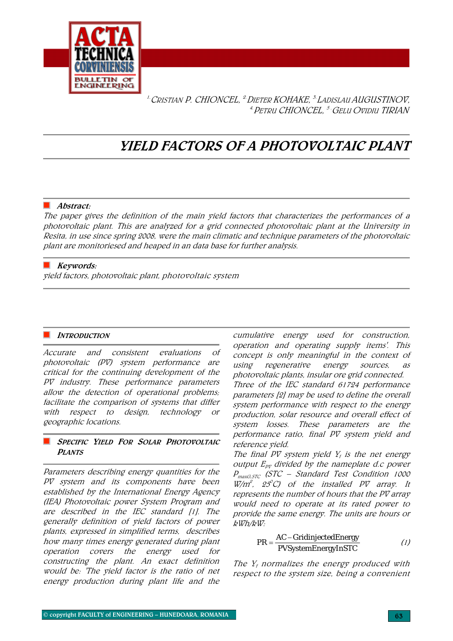

<sup>1.</sup> CRISTIAN P. CHIONCEL, <sup>2</sup>. DIETER KOHAKE, <sup>3.</sup> LADISLAU AUGUSTINOV, <sup>4.</sup> Petru CHIONCEL, <sup>5.</sup> Gelu Ovidiu TIRIAN

# YIELD FACTORS OF A PHOTOVOLTAIC PLANT

#### $\blacksquare$  Abstract:

The paper gives the definition of the main yield factors that characterizes the performances of a photovoltaic plant. This are analyzed for a grid connected photovoltaic plant at the University in Resita, in use since spring 2008, were the main climatic and technique parameters of the photovoltaic plant are monitoriesed and heaped in an data base for further analysis.

## $\blacksquare$  Keywords:

yield factors, photovoltaic plant, photovoltaic system

### INTRODUCTION

Accurate and consistent evaluations of photovoltaic (PV) system performance are critical for the continuing development of the PV industry. These performance parameters allow the detection of operational problems; facilitate the comparison of systems that differ with respect to design, technology or geographic locations.

# SPECIFIC YIELD FOR SOLAR PHOTOVOLTAIC **PLANTS**

Parameters describing energy quantities for the PV system and its components have been established by the International Energy Agency (IEA) Photovoltaic power System Program and are described in the IEC standard [1]. The generally definition of yield factors of power plants, expressed in simplified terms, describes how many times energy generated during plant operation covers the energy used for constructing the plant. An exact definition would be: 'The yield factor is the ratio of net energy production during plant life and the

cumulative energy used for construction, operation and operating supply items'. This concept is only meaningful in the context of using regenerative energy sources, as photovoltaic plants, insular ore grid connected. Three of the IEC standard 61724 performance parameters [2] may be used to define the overall system performance with respect to the energy production, solar resource and overall effect of system losses. These parameters are the performance ratio, final PV system yield and reference yield.

The final PV system yield  $Y_f$  is the net energy output  $E_{pr}$  divided by the nameplate d.c power  $P_{maxG,STC}$  (STC – Standard Test Condition 1000  $W/m^2$ , 25°C) of the installed PV array. It represents the number of hours that the PV array would need to operate at its rated power to provide the same energy. The units are hours or kWh/kW:

$$
PR = \frac{AC - \text{GridinjectedEnergy}}{PVSystemEnergyInSTC}
$$
 (1)

The  $Y_f$  normalizes the energy produced with respect to the system size, being a convenient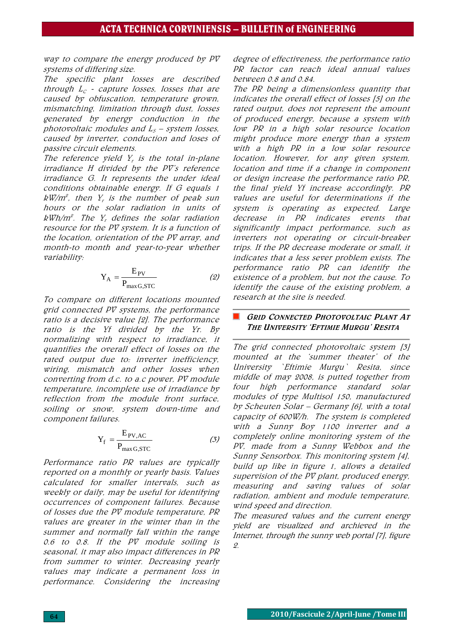way to compare the energy produced by PV systems of differing size.

The specific plant losses are described through  $L_c$  - capture losses, losses that are caused by obfuscation, temperature grown, mismatching, limitation through dust, losses generated by energy conduction in the photovoltaic modules and  $L_s$  – system losses, caused by inverter, conduction and loses of passive circuit elements.

The reference yield  $Y_r$  is the total in-plane irradiance H divided by the PV's reference irradiance G. It represents the under ideal conditions obtainable energy. If G equals 1  $kW/m^2$ , then  $Y<sub>r</sub>$  is the number of peak sun hours or the solar radiation in units of  $kWh/m^2$ . The  $Y_r$  defines the solar radiation resource for the PV system. It is a function of the location, orientation of the PV array, and month-to month and year-to-year whether variability:

$$
Y_A = \frac{E_{PV}}{P_{\text{max }G,\text{STC}}}
$$
 (2)

To compare on different locations mounted grid connected PV systems, the performance ratio is a decisive value [2]. The performance ratio is the Yf divided by the Yr. By normalizing with respect to irradiance, it quantifies the overall effect of losses on the rated output due to: inverter inefficiency, wiring, mismatch and other losses when converting from d.c. to a.c power, PV module temperature, incomplete use of irradiance by reflection from the module front surface, soiling or snow, system down-time and component failures.

$$
Y_f = \frac{E_{PV,AC}}{P_{\text{max }G,\text{STC}}}
$$
 (3)

Performance ratio PR values are typically reported on a monthly or yearly basis. Values calculated for smaller intervals, such as weekly or daily, may be useful for identifying occurrences of component failures. Because of losses due the PV module temperature, PR values are greater in the winter than in the summer and normally fall within the range 0.6 to 0.8. If the PV module soiling is seasonal, it may also impact differences in PR from summer to winter. Decreasing yearly values may indicate a permanent loss in performance. Considering the increasing

degree of effectiveness, the performance ratio PR factor can reach ideal annual values between 0.8 and 0.84.

The PR being a dimensionless quantity that indicates the overall effect of losses [5] on the rated output, does not represent the amount of produced energy, because a system with low PR in a high solar resource location might produce more energy than a system with a high PR in a low solar resource location. However, for any given system, location and time if a change in component or design increase the performance ratio PR, the final yield Yf increase accordingly. PR values are useful for determinations if the system is operating as expected. Large decrease in PR indicates events that significantly impact performance, such as inverters not operating or circuit-breaker trips. If the PR decrease moderate or small, it indicates that a less sever problem exists. The performance ratio PR can identify the existence of a problem, but not the cause. To identify the cause of the existing problem, a research at the site is needed.

### GRID CONNECTED PHOTOVOLTAIC PLANT AT THE UNIVERSITY 'EFTIMIE MURGU' RESITA

The grid connected photovoltaic system [3] mounted at the 'summer theater' of the University `Eftimie Murgu` Resita, since middle of may 2008, is putted together from four high performance standard solar modules of type Multisol 150, manufactured by Scheuten Solar – Germany [6], with a total capacity of 600W/h. The system is completed with a Sunny Boy 1100 inverter and a completely online monitoring system of the PV, made from a Sunny Webbox and the Sunny Sensorbox. This monitoring system [4], build up like in figure 1, allows a detailed supervision of the PV plant, produced energy, measuring and saving values of solar radiation, ambient and module temperature, wind speed and direction.

The measured values and the current energy yield are visualized and archieved in the Internet, through the sunny web portal [7], figure 2.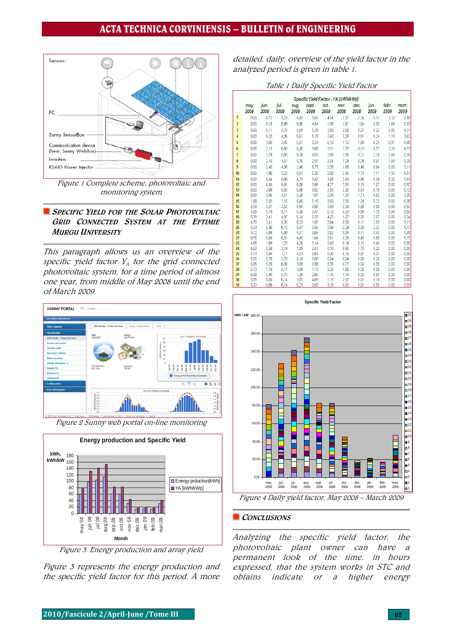# ACTA TECHNICA CORVINIENSIS – BULLETIN of ENGINEERING



Figure 1 Complete scheme, photovoltaic and monitoring system

# SPECIFIC YIELD FOR THE SOLAR PHOTOVOLTAIC GRID CONNECTED SYSTEM AT THE EFTIMIE MURGU UNIVERSITY

This paragraph allows us an overview of the specific yield factor  $Y_A$  for the grid connected photovoltaic system, for a time period of almost one year, from middle of May 2008 until the end of March 2009.



Figure 2 Sunny web portal on-line monitoring



Figure 3. Energy production and array yield

Figure 3 represents the energy production and the specific yield factor for this period. A more

detailed, daily, overview of the yield factor in the analyzed period is given in table 1.

| Table 1 Daily Specific Yield Factor |
|-------------------------------------|
|-------------------------------------|

|                | Specific Yield Factor - YA [kWh/kWp] |              |              |              |               |              |              |              |              |               |               |
|----------------|--------------------------------------|--------------|--------------|--------------|---------------|--------------|--------------|--------------|--------------|---------------|---------------|
|                | may<br>2008                          | jun.<br>2008 | jul.<br>2008 | aug.<br>2008 | sept.<br>2008 | oct.<br>2008 | nov.<br>2008 | dec.<br>2008 | jan.<br>2009 | febr.<br>2009 | mart.<br>2009 |
| 1              | 0.00                                 | 4.72         | 5,78         | 6.49         | 5.65          | 4,64         | 1.57         | 2,30         | 0.12         | 2,32          | 0,00          |
| $\overline{2}$ | 0,00                                 | 5,15         | 5,99         | 5,80         | 4,54          | 1,59         | 1,61         | 1,84         | 0,00         | 1,69          | 0,03          |
| 3              | 0,00                                 | 6,11         | 5,76         | 5,69         | 5,39          | 3,80         | 2,68         | 0,27         | 0,22         | 0,85          | 1,31          |
| $\overline{4}$ | 0,00                                 | 5,22         | 4,96         | 5,61         | 5,18          | 2,43         | 2,28         | 0,51         | 0.24         | 1,15          | 3,62          |
| 5              | 0.00                                 | 3,65         | 3,92         | 5,81         | 5.24          | 0,12         | 1,12         | 1,68         | 0,24         | 0,97          | 1,05          |
| 6              | 0,00                                 | 2,12         | 6,08         | 6,28         | 5,68          | 2,51         | 1,70         | 0,16         | 0.77         | 3,26          | 4,73          |
| 7              | 0,00                                 | 1,78         | 5,80         | 5,78         | 4,82          | 2,89         | 2,35         | 0,12         | 2,16         | 2,66          | 0,30          |
| 8              | 0.00                                 | 2,16         | 4,51         | 5,76         | 2.97          | 2,54         | 1,24         | 0,38         | 0.01         | 1,89          | 0,39          |
| 9              | 0,00                                 | 2,45         | 4,95         | 2,46         | 5,73          | 2,09         | 1,66         | 0,49         | 0,64         | 0,09          | 3,11          |
| 10             | 0.00                                 | 1,96         | 3,22         | 4,81         | 5,28          | 2,88         | 2,95         | 1,74         | 1,11         | 1,93          | 1,61          |
| 11             | 0,00                                 | 5,34         | 5,99         | 4,73         | 3,82          | 3,89         | 2.69         | 0,85         | 0,38         | 0,32          | 2.53          |
| 12             | 0,00                                 | 4,46         | 5,81         | 6,08         | 3,86          | 4,27         | 2,53         | 0,19         | 1.07         | 0,00          | 0,97          |
| 13             | 0,00                                 | 3,88         | 5,65         | 5,86         | 0,82          | 3,59         | 2,36         | 0,54         | 0,76         | 0,00          | 0,72          |
| 14             | 0,00                                 | 2,96         | 4,61         | 5,28         | 1,07          | 2,09         | 1,28         | 1,73         | 0,65         | 0,00          | 3,95          |
| 15             | 1.58                                 | 2,32         | 1,15         | 5,85         | 0.15          | 3,50         | 2,30         | 1,24         | 0.22         | 0.00          | 6,35          |
| 16             | 5,59                                 | 5,27         | 3,53         | 4,95         | 0,69          | 3,59         | 2,36         | 0,88         | 0,08         | 0,00          | 0,50          |
| 17             | 4,68                                 | 5,70         | 5,11         | 5,28         | 0.57          | 0,12         | 0,20         | 0,89         | 1,70         | 0,00          | 0,80          |
| 18             | 5,39                                 | 3,41         | 4,97         | 6,14         | 0.35          | 4,23         | 1,27         | 0.05         | 2,57         | 0,00          | 0,24          |
| 19             | 4,70                                 | 3,41         | 5,93         | 6,23         | 1,07          | 3,64         | 0,39         | 0,12         | 2,03         | 0,00          | 3,11          |
| 20<br>21       | 5.24<br>3,72                         | 5,36<br>5,89 | 6,12<br>5,08 | 5,97<br>5,57 | 0.55<br>0.69  | 3,89<br>3,62 | 2,24<br>0,09 | 0,08<br>0,11 | 2.32<br>0.45 | 0,00<br>0,00  | 4,77<br>1,85  |
| 22             | 0,76                                 | 6,00         | 0,51         | 4,45         | 1,64          | 3,61         | 0,38         | 0,49         | 0,80         | 0,00          | 5,15          |
| 23             | 4,85                                 | 1,89         | 1,23         | 4,26         | 3,14          | 3,43         | 0,14         | 0.15         | 0.46         | 0,00          | 0,00          |
| 24             | 6,62                                 | 5,58         | 2,19         | 1.89         | 2,51          | 0,18         | 0,95         | 1,70         | 0,22         | 0,00          | 0,00          |
| 25             | 4,74                                 | 5,84         | 1,11         | 4,53         | 0,64          | 0,30         | 0,16         | 0,01         | 0,31         | 0,00          | 0,00          |
| 26             | 5.05                                 | 5,70         | 2,70         | 6,18         | 0,80          | 0,64         | 0,04         | 0,08         | 0.20         | 0,00          | 0,00          |
| 27             | 5,85                                 | 5,20         | 6,09         | 3,89         | 0,58          | 3,39         | 0,77         | 0,04         | 0,95         | 0,00          | 0,00          |
| 28             | 5,73                                 | 1,76         | 5,11         | 3,59         | 1,73          | 3,20         | 1,88         | 0,05         | 0,08         | 0,00          | 0,00          |
| 29<br>30       | 6,08<br>5,59                         | 5,95<br>6,03 | 5,70<br>6,14 | 1,26<br>3,97 | 2,66<br>4,89  | 1,76<br>1,15 | 1,18<br>2,57 | 0,00<br>0,01 | 0,09<br>0.18 | 0,00<br>0,00  | 0,00<br>0,00  |
| 31             | 5,32                                 | 0,00         | 6,14         | 5,23         | 0.00          | 3,15         | 0,00         | 0,01         | 0,55         | 0,00          | 0,00          |



Figure 4 Daily yield factor, May 2008 – March 2009

#### CONCLUSIONS

Analyzing the specific yield factor, the photovoltaic plant owner can have a permanent look of the time, in hours expressed, that the system works in STC and obtains indicate or a higher energy